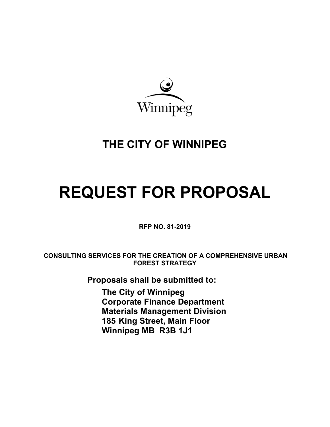

# **THE CITY OF WINNIPEG**

# **REQUEST FOR PROPOSAL**

**RFP NO. 81-2019** 

**CONSULTING SERVICES FOR THE CREATION OF A COMPREHENSIVE URBAN FOREST STRATEGY** 

**Proposals shall be submitted to:** 

**The City of Winnipeg Corporate Finance Department Materials Management Division 185 King Street, Main Floor Winnipeg MB R3B 1J1**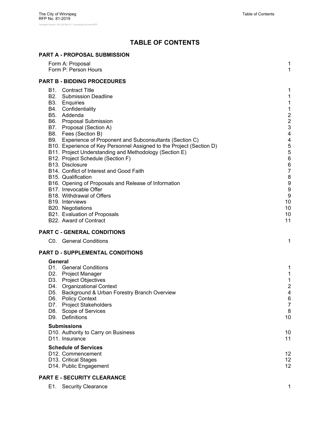# **TABLE OF CONTENTS**

#### **PART A - PROPOSAL SUBMISSION**

| Form A: Proposal<br>Form P: Person Hours                                                                                                                                                                                                                                                                                                                                                                                                                                                                                                                                                                                                                                                                                                                         | 1<br>1                                                                                                                                                |
|------------------------------------------------------------------------------------------------------------------------------------------------------------------------------------------------------------------------------------------------------------------------------------------------------------------------------------------------------------------------------------------------------------------------------------------------------------------------------------------------------------------------------------------------------------------------------------------------------------------------------------------------------------------------------------------------------------------------------------------------------------------|-------------------------------------------------------------------------------------------------------------------------------------------------------|
| <b>PART B - BIDDING PROCEDURES</b>                                                                                                                                                                                                                                                                                                                                                                                                                                                                                                                                                                                                                                                                                                                               |                                                                                                                                                       |
| <b>B1.</b> Contract Title<br><b>B2.</b> Submission Deadline<br>B3. Enquiries<br>B4. Confidentiality<br>B5. Addenda<br>B6. Proposal Submission<br>B7. Proposal (Section A)<br>B8. Fees (Section B)<br>B9. Experience of Proponent and Subconsultants (Section C)<br>B10. Experience of Key Personnel Assigned to the Project (Section D)<br>B11. Project Understanding and Methodology (Section E)<br>B12. Project Schedule (Section F)<br>B13. Disclosure<br>B14. Conflict of Interest and Good Faith<br>B <sub>15</sub> . Qualification<br>B16. Opening of Proposals and Release of Information<br>B17. Irrevocable Offer<br>B18. Withdrawal of Offers<br><b>B19.</b> Interviews<br>B20. Negotiations<br>B21. Evaluation of Proposals<br>B22. Award of Contract | 1<br>1<br>1<br>1<br>$\frac{2}{3}$<br>$\overline{\mathcal{A}}$<br>4<br>5<br>5<br>$6\phantom{1}6$<br>6<br>7<br>8<br>9<br>9<br>9<br>10<br>10<br>10<br>11 |
| <b>PART C - GENERAL CONDITIONS</b>                                                                                                                                                                                                                                                                                                                                                                                                                                                                                                                                                                                                                                                                                                                               |                                                                                                                                                       |
| C0. General Conditions                                                                                                                                                                                                                                                                                                                                                                                                                                                                                                                                                                                                                                                                                                                                           | 1                                                                                                                                                     |
| PART D - SUPPLEMENTAL CONDITIONS<br>General                                                                                                                                                                                                                                                                                                                                                                                                                                                                                                                                                                                                                                                                                                                      |                                                                                                                                                       |
| D1. General Conditions<br>D2. Project Manager<br>D3. Project Objectives<br>D4. Organizational Context<br>D5. Background & Urban Forestry Branch Overview<br>D6.<br><b>Policy Context</b><br><b>Project Stakeholders</b><br>D7.<br>D8.<br>Scope of Services<br>Definitions<br>D9.                                                                                                                                                                                                                                                                                                                                                                                                                                                                                 | 1<br>1<br>1<br>$\overline{\mathbf{c}}$<br>4<br>6<br>7<br>8<br>10                                                                                      |
| <b>Submissions</b><br>D10. Authority to Carry on Business<br>D <sub>11</sub> . Insurance                                                                                                                                                                                                                                                                                                                                                                                                                                                                                                                                                                                                                                                                         | 10<br>11                                                                                                                                              |
| <b>Schedule of Services</b><br>D <sub>12</sub> . Commencement<br>D13. Critical Stages<br>D14. Public Engagement                                                                                                                                                                                                                                                                                                                                                                                                                                                                                                                                                                                                                                                  | 12<br>12<br>12                                                                                                                                        |

#### **PART E - SECURITY CLEARANCE**

E1. Security Clearance 1 and 1 and 2 and 2 and 2 and 2 and 2 and 2 and 2 and 2 and 2 and 2 and 2 and 2 and 2 and 2 and 2 and 2 and 2 and 2 and 2 and 2 and 2 and 2 and 2 and 2 and 2 and 2 and 2 and 2 and 2 and 2 and 2 and 2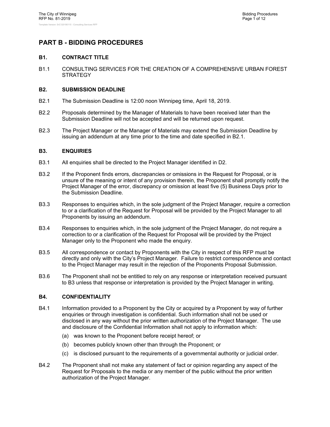### **PART B - BIDDING PROCEDURES**

#### **B1. CONTRACT TITLE**

B1.1 CONSULTING SERVICES FOR THE CREATION OF A COMPREHENSIVE URBAN FOREST **STRATEGY** 

#### **B2. SUBMISSION DEADLINE**

- B2.1 The Submission Deadline is 12:00 noon Winnipeg time, April 18, 2019.
- B2.2 Proposals determined by the Manager of Materials to have been received later than the Submission Deadline will not be accepted and will be returned upon request.
- B2.3 The Project Manager or the Manager of Materials may extend the Submission Deadline by issuing an addendum at any time prior to the time and date specified in B2.1.

#### **B3. ENQUIRIES**

- B3.1 All enquiries shall be directed to the Project Manager identified in D2.
- B3.2 If the Proponent finds errors, discrepancies or omissions in the Request for Proposal, or is unsure of the meaning or intent of any provision therein, the Proponent shall promptly notify the Project Manager of the error, discrepancy or omission at least five (5) Business Days prior to the Submission Deadline.
- B3.3 Responses to enquiries which, in the sole judgment of the Project Manager, require a correction to or a clarification of the Request for Proposal will be provided by the Project Manager to all Proponents by issuing an addendum.
- B3.4 Responses to enquiries which, in the sole judgment of the Project Manager, do not require a correction to or a clarification of the Request for Proposal will be provided by the Project Manager only to the Proponent who made the enquiry.
- B3.5 All correspondence or contact by Proponents with the City in respect of this RFP must be directly and only with the City's Project Manager. Failure to restrict correspondence and contact to the Project Manager may result in the rejection of the Proponents Proposal Submission.
- B3.6 The Proponent shall not be entitled to rely on any response or interpretation received pursuant to B3 unless that response or interpretation is provided by the Project Manager in writing.

#### **B4. CONFIDENTIALITY**

- B4.1 Information provided to a Proponent by the City or acquired by a Proponent by way of further enquiries or through investigation is confidential. Such information shall not be used or disclosed in any way without the prior written authorization of the Project Manager. The use and disclosure of the Confidential Information shall not apply to information which:
	- (a) was known to the Proponent before receipt hereof; or
	- (b) becomes publicly known other than through the Proponent; or
	- (c) is disclosed pursuant to the requirements of a governmental authority or judicial order.
- B4.2 The Proponent shall not make any statement of fact or opinion regarding any aspect of the Request for Proposals to the media or any member of the public without the prior written authorization of the Project Manager.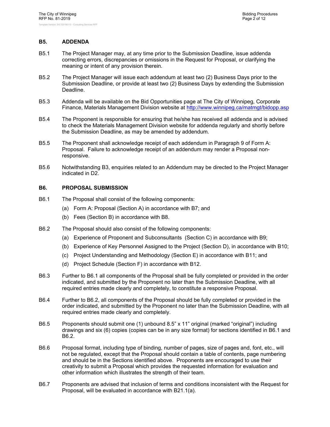#### **B5. ADDENDA**

- B5.1 The Project Manager may, at any time prior to the Submission Deadline, issue addenda correcting errors, discrepancies or omissions in the Request for Proposal, or clarifying the meaning or intent of any provision therein.
- B5.2 The Project Manager will issue each addendum at least two (2) Business Days prior to the Submission Deadline, or provide at least two (2) Business Days by extending the Submission Deadline.
- B5.3 Addenda will be available on the Bid Opportunities page at The City of Winnipeg, Corporate Finance, Materials Management Division website at http://www.winnipeg.ca/matmgt/bidopp.asp
- B5.4 The Proponent is responsible for ensuring that he/she has received all addenda and is advised to check the Materials Management Division website for addenda regularly and shortly before the Submission Deadline, as may be amended by addendum.
- B5.5 The Proponent shall acknowledge receipt of each addendum in Paragraph 9 of Form A: Proposal. Failure to acknowledge receipt of an addendum may render a Proposal nonresponsive.
- B5.6 Notwithstanding B3, enquiries related to an Addendum may be directed to the Project Manager indicated in D2.

#### **B6. PROPOSAL SUBMISSION**

- B6.1 The Proposal shall consist of the following components:
	- (a) Form A: Proposal (Section A) in accordance with B7; and
	- (b) Fees (Section B) in accordance with B8.
- B6.2 The Proposal should also consist of the following components:
	- (a) Experience of Proponent and Subconsultants (Section C) in accordance with B9;
	- (b) Experience of Key Personnel Assigned to the Project (Section D), in accordance with B10;
	- (c) Project Understanding and Methodology (Section E) in accordance with B11; and
	- (d) Project Schedule (Section F) in accordance with B12.
- B6.3 Further to B6.1 all components of the Proposal shall be fully completed or provided in the order indicated, and submitted by the Proponent no later than the Submission Deadline, with all required entries made clearly and completely, to constitute a responsive Proposal.
- B6.4 Further to B6.2, all components of the Proposal should be fully completed or provided in the order indicated, and submitted by the Proponent no later than the Submission Deadline, with all required entries made clearly and completely.
- B6.5 Proponents should submit one (1) unbound 8.5" x 11" original (marked "original") including drawings and six (6) copies (copies can be in any size format) for sections identified in B6.1 and B6.2.
- B6.6 Proposal format, including type of binding, number of pages, size of pages and, font, etc., will not be regulated, except that the Proposal should contain a table of contents, page numbering and should be in the Sections identified above. Proponents are encouraged to use their creativity to submit a Proposal which provides the requested information for evaluation and other information which illustrates the strength of their team.
- B6.7 Proponents are advised that inclusion of terms and conditions inconsistent with the Request for Proposal, will be evaluated in accordance with B21.1(a).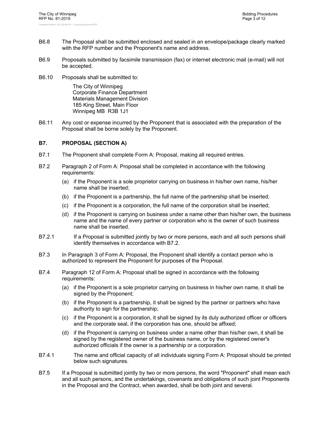- B6.8 The Proposal shall be submitted enclosed and sealed in an envelope/package clearly marked with the RFP number and the Proponent's name and address.
- B6.9 Proposals submitted by facsimile transmission (fax) or internet electronic mail (e-mail) will not be accepted.
- B6.10 Proposals shall be submitted to:

The City of Winnipeg Corporate Finance Department Materials Management Division 185 King Street, Main Floor Winnipeg MB R3B 1J1

B6.11 Any cost or expense incurred by the Proponent that is associated with the preparation of the Proposal shall be borne solely by the Proponent.

#### **B7. PROPOSAL (SECTION A)**

- B7.1 The Proponent shall complete Form A: Proposal, making all required entries.
- B7.2 Paragraph 2 of Form A: Proposal shall be completed in accordance with the following requirements:
	- (a) if the Proponent is a sole proprietor carrying on business in his/her own name, his/her name shall be inserted;
	- (b) if the Proponent is a partnership, the full name of the partnership shall be inserted;
	- (c) if the Proponent is a corporation, the full name of the corporation shall be inserted;
	- (d) if the Proponent is carrying on business under a name other than his/her own, the business name and the name of every partner or corporation who is the owner of such business name shall be inserted.
- B7.2.1 If a Proposal is submitted jointly by two or more persons, each and all such persons shall identify themselves in accordance with B7.2.
- B7.3 In Paragraph 3 of Form A: Proposal, the Proponent shall identify a contact person who is authorized to represent the Proponent for purposes of the Proposal.
- B7.4 Paragraph 12 of Form A: Proposal shall be signed in accordance with the following requirements:
	- (a) if the Proponent is a sole proprietor carrying on business in his/her own name, it shall be signed by the Proponent;
	- (b) if the Proponent is a partnership, it shall be signed by the partner or partners who have authority to sign for the partnership;
	- (c) if the Proponent is a corporation, it shall be signed by its duly authorized officer or officers and the corporate seal, if the corporation has one, should be affixed;
	- (d) if the Proponent is carrying on business under a name other than his/her own, it shall be signed by the registered owner of the business name, or by the registered owner's authorized officials if the owner is a partnership or a corporation.
- B7.4.1 The name and official capacity of all individuals signing Form A: Proposal should be printed below such signatures.
- B7.5 If a Proposal is submitted jointly by two or more persons, the word "Proponent" shall mean each and all such persons, and the undertakings, covenants and obligations of such joint Proponents in the Proposal and the Contract, when awarded, shall be both joint and several.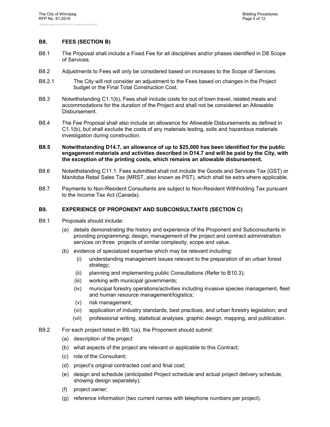#### **B8. FEES (SECTION B)**

- B8.1 The Proposal shall include a Fixed Fee for all disciplines and/or phases identified in D8 Scope of Services.
- B8.2 Adjustments to Fees will only be considered based on increases to the Scope of Services.
- B8.2.1 The City will not consider an adjustment to the Fees based on changes in the Project budget or the Final Total Construction Cost.
- B8.3 Notwithstanding C1.1(b), Fees shall include costs for out of town travel, related meals and accommodations for the duration of the Project and shall not be considered an Allowable Disbursement.
- B8.4 The Fee Proposal shall also include an allowance for Allowable Disbursements as defined in C1.1(b), but shall exclude the costs of any materials testing, soils and hazardous materials investigation during construction.
- **B8.5 Notwithstanding D14.7, an allowance of up to \$25,000 has been identified for the public engagement materials and activities described in D14.7 and will be paid by the City, with the exception of the printing costs, which remains an allowable disbursement.**
- B8.6 Notwithstanding C11.1, Fees submitted shall not include the Goods and Services Tax (GST) or Manitoba Retail Sales Tax (MRST, also known as PST), which shall be extra where applicable.
- B8.7 Payments to Non-Resident Consultants are subject to Non-Resident Withholding Tax pursuant to the Income Tax Act (Canada).

#### **B9. EXPERIENCE OF PROPONENT AND SUBCONSULTANTS (SECTION C)**

- B9.1 Proposals should include:
	- (a) details demonstrating the history and experience of the Proponent and Subconsultants in providing programming; design, management of the project and contract administration services on three projects of similar complexity, scope and value.
	- (b) evidence of specialized expertise which may be relevant including:
		- (i) understanding management issues relevant to the preparation of an urban forest strategy;
		- (ii) planning and implementing public Consultations (Refer to B10.3);
		- (iii) working with municipal governments;
		- (iv) municipal forestry operations/activities including invasive species management, fleet and human resource management/logistics;
		- (v) risk management;
		- (vi) application of industry standards, best practices, and urban forestry legislation; and
		- (vii) professional writing, statistical analyses, graphic design, mapping, and publication.
- B9.2 For each project listed in B9.1(a), the Proponent should submit:
	- (a) description of the project
	- (b) what aspects of the project are relevant or applicable to this Contract;
	- (c) role of the Consultant;
	- (d) project's original contracted cost and final cost;
	- (e) design and schedule (anticipated Project schedule and actual project delivery schedule, showing design separately);
	- (f) project owner;
	- (g) reference information (two current names with telephone numbers per project).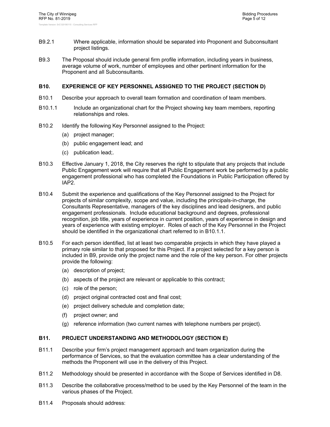- B9.2.1 Where applicable, information should be separated into Proponent and Subconsultant project listings.
- B9.3 The Proposal should include general firm profile information, including years in business, average volume of work, number of employees and other pertinent information for the Proponent and all Subconsultants.

#### **B10. EXPERIENCE OF KEY PERSONNEL ASSIGNED TO THE PROJECT (SECTION D)**

- B10.1 Describe your approach to overall team formation and coordination of team members.
- B10.1.1 Include an organizational chart for the Project showing key team members, reporting relationships and roles.
- B10.2 Identify the following Key Personnel assigned to the Project:
	- (a) project manager;
	- (b) public engagement lead; and
	- (c) publication lead;.
- B10.3 Effective January 1, 2018, the City reserves the right to stipulate that any projects that include Public Engagement work will require that all Public Engagement work be performed by a public engagement professional who has completed the Foundations in Public Participation offered by IAP2.
- B10.4 Submit the experience and qualifications of the Key Personnel assigned to the Project for projects of similar complexity, scope and value, including the principals-in-charge, the Consultants Representative, managers of the key disciplines and lead designers, and public engagement professionals. Include educational background and degrees, professional recognition, job title, years of experience in current position, years of experience in design and years of experience with existing employer. Roles of each of the Key Personnel in the Project should be identified in the organizational chart referred to in B10.1.1.
- B10.5 For each person identified, list at least two comparable projects in which they have played a primary role similar to that proposed for this Project. If a project selected for a key person is included in B9, provide only the project name and the role of the key person. For other projects provide the following:
	- (a) description of project;
	- (b) aspects of the project are relevant or applicable to this contract;
	- (c) role of the person;
	- (d) project original contracted cost and final cost;
	- (e) project delivery schedule and completion date;
	- (f) project owner; and
	- (g) reference information (two current names with telephone numbers per project).

#### **B11. PROJECT UNDERSTANDING AND METHODOLOGY (SECTION E)**

- B11.1 Describe your firm's project management approach and team organization during the performance of Services, so that the evaluation committee has a clear understanding of the methods the Proponent will use in the delivery of this Project.
- B11.2 Methodology should be presented in accordance with the Scope of Services identified in D8.
- B11.3 Describe the collaborative process/method to be used by the Key Personnel of the team in the various phases of the Project.
- B11.4 Proposals should address: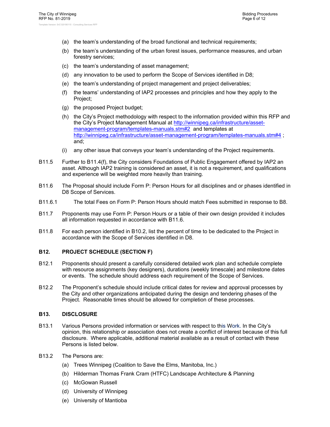- (a) the team's understanding of the broad functional and technical requirements;
- (b) the team's understanding of the urban forest issues, performance measures, and urban forestry services;
- (c) the team's understanding of asset management;
- (d) any innovation to be used to perform the Scope of Services identified in D8;
- (e) the team's understanding of project management and project deliverables;
- (f) the teams' understanding of IAP2 processes and principles and how they apply to the Project;
- (g) the proposed Project budget;
- (h) the City's Project methodology with respect to the information provided within this RFP and the City's Project Management Manual at http://winnipeg.ca/infrastructure/assetmanagement-program/templates-manuals.stm#2 and templates at http://winnipeg.ca/infrastructure/asset-management-program/templates-manuals.stm#4 ; and;
- (i) any other issue that conveys your team's understanding of the Project requirements.
- B11.5 Further to B11.4(f), the City considers Foundations of Public Engagement offered by IAP2 an asset. Although IAP2 training is considered an asset, it is not a requirement, and qualifications and experience will be weighted more heavily than training.
- B11.6 The Proposal should include Form P: Person Hours for all disciplines and or phases identified in D8 Scope of Services.
- B11.6.1 The total Fees on Form P: Person Hours should match Fees submitted in response to B8.
- B11.7 Proponents may use Form P: Person Hours or a table of their own design provided it includes all information requested in accordance with B11.6.
- B11.8 For each person identified in B10.2, list the percent of time to be dedicated to the Project in accordance with the Scope of Services identified in D8.

#### **B12. PROJECT SCHEDULE (SECTION F)**

- B12.1 Proponents should present a carefully considered detailed work plan and schedule complete with resource assignments (key designers), durations (weekly timescale) and milestone dates or events. The schedule should address each requirement of the Scope of Services.
- B12.2 The Proponent's schedule should include critical dates for review and approval processes by the City and other organizations anticipated during the design and tendering phases of the Project. Reasonable times should be allowed for completion of these processes.

#### **B13. DISCLOSURE**

- B13.1 Various Persons provided information or services with respect to this Work. In the City's opinion, this relationship or association does not create a conflict of interest because of this full disclosure. Where applicable, additional material available as a result of contact with these Persons is listed below.
- B13.2 The Persons are:
	- (a) Trees Winnipeg (Coalition to Save the Elms, Manitoba, Inc.)
	- (b) Hilderman Thomas Frank Cram (HTFC) Landscape Architecture & Planning
	- (c) McGowan Russell
	- (d) University of Winnipeg
	- (e) University of Mantioba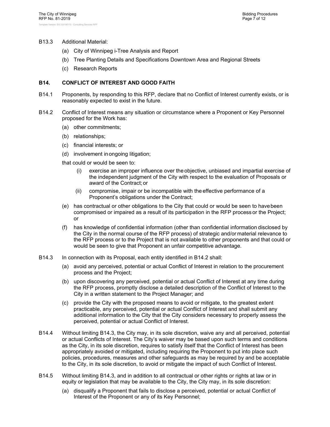#### B13.3 Additional Material:

- (a) City of Winnipeg i-Tree Analysis and Report
- (b) Tree Planting Details and Specifications Downtown Area and Regional Streets
- (c) Research Reports

#### **B14. CONFLICT OF INTEREST AND GOOD FAITH**

- B14.1 Proponents, by responding to this RFP, declare that no Conflict of Interest currently exists, or is reasonably expected to exist in the future.
- B14.2 Conflict of Interest means any situation or circumstance where a Proponent or Key Personnel proposed for the Work has:
	- (a) other commitments;
	- (b) relationships;
	- (c) financial interests; or
	- (d) involvement in ongoing litigation;

that could or would be seen to:

- (i) exercise an improper influence over the objective, unbiased and impartial exercise of the independent judgment of the City with respect to the evaluation of Proposals or award of the Contract; or
- (ii) compromise, impair or be incompatible with the effective performance of a Proponent's obligations under the Contract;
- (e) has contractual or other obligations to the City that could or would be seen to have been compromised or impaired as a result of its participation in the RFP process or the Project; or
- (f) has knowledge of confidential information (other than confidential information disclosed by the City in the normal course of the RFP process) of strategic and/or material relevance to the RFP process or to the Project that is not available to other proponents and that could or would be seen to give that Proponent an unfair competitive advantage.
- B14.3 In connection with its Proposal, each entity identified in B14.2 shall:
	- (a) avoid any perceived, potential or actual Conflict of Interest in relation to the procurement process and the Project;
	- (b) upon discovering any perceived, potential or actual Conflict of Interest at any time during the RFP process, promptly disclose a detailed description of the Conflict of Interest to the City in a written statement to the Project Manager; and
	- (c) provide the City with the proposed means to avoid or mitigate, to the greatest extent practicable, any perceived, potential or actual Conflict of Interest and shall submit any additional information to the City that the City considers necessary to properly assess the perceived, potential or actual Conflict of Interest.
- B14.4 Without limiting B14.3, the City may, in its sole discretion, waive any and all perceived, potential or actual Conflicts of Interest. The City's waiver may be based upon such terms and conditions as the City, in its sole discretion, requires to satisfy itself that the Conflict of Interest has been appropriately avoided or mitigated, including requiring the Proponent to put into place such policies, procedures, measures and other safeguards as may be required by and be acceptable to the City, in its sole discretion, to avoid or mitigate the impact of such Conflict of Interest.
- B14.5 Without limiting B14.3, and in addition to all contractual or other rights or rights at law or in equity or legislation that may be available to the City, the City may, in its sole discretion:
	- (a) disqualify a Proponent that fails to disclose a perceived, potential or actual Conflict of Interest of the Proponent or any of its Key Personnel;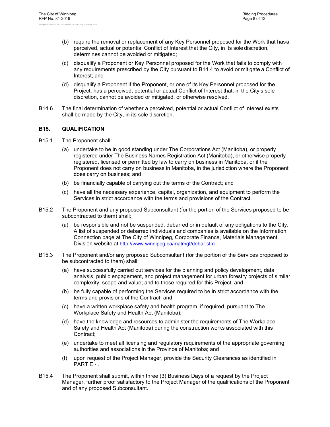- (b) require the removal or replacement of any Key Personnel proposed for the Work that has a perceived, actual or potential Conflict of Interest that the City, in its sole discretion, determines cannot be avoided or mitigated;
- (c) disqualify a Proponent or Key Personnel proposed for the Work that fails to comply with any requirements prescribed by the City pursuant to B14.4 to avoid or mitigate a Conflict of Interest; and
- (d) disqualify a Proponent if the Proponent, or one of its Key Personnel proposed for the Project, has a perceived, potential or actual Conflict of Interest that, in the City's sole discretion, cannot be avoided or mitigated, or otherwise resolved.
- B14.6 The final determination of whether a perceived, potential or actual Conflict of Interest exists shall be made by the City, in its sole discretion.

#### **B15. QUALIFICATION**

- B15.1 The Proponent shall:
	- (a) undertake to be in good standing under The Corporations Act (Manitoba), or properly registered under The Business Names Registration Act (Manitoba), or otherwise properly registered, licensed or permitted by law to carry on business in Manitoba, or if the Proponent does not carry on business in Manitoba, in the jurisdiction where the Proponent does carry on business; and
	- (b) be financially capable of carrying out the terms of the Contract; and
	- (c) have all the necessary experience, capital, organization, and equipment to perform the Services in strict accordance with the terms and provisions of the Contract.
- B15.2 The Proponent and any proposed Subconsultant (for the portion of the Services proposed to be subcontracted to them) shall:
	- (a) be responsible and not be suspended, debarred or in default of any obligations to the City. A list of suspended or debarred individuals and companies is available on the Information Connection page at The City of Winnipeg, Corporate Finance, Materials Management Division website at http://www.winnipeg.ca/matmgt/debar.stm
- B15.3 The Proponent and/or any proposed Subconsultant (for the portion of the Services proposed to be subcontracted to them) shall:
	- (a) have successfully carried out services for the planning and policy development, data analysis, public engagement, and project management for urban forestry projects of similar complexity, scope and value; and to those required for this Project; and
	- (b) be fully capable of performing the Services required to be in strict accordance with the terms and provisions of the Contract; and
	- (c) have a written workplace safety and health program, if required, pursuant to The Workplace Safety and Health Act (Manitoba);
	- (d) have the knowledge and resources to administer the requirements of The Workplace Safety and Health Act (Manitoba) during the construction works associated with this Contract;
	- (e) undertake to meet all licensing and regulatory requirements of the appropriate governing authorities and associations in the Province of Manitoba; and
	- (f) upon request of the Project Manager, provide the Security Clearances as identified in PART E - .
- B15.4 The Proponent shall submit, within three (3) Business Days of a request by the Project Manager, further proof satisfactory to the Project Manager of the qualifications of the Proponent and of any proposed Subconsultant.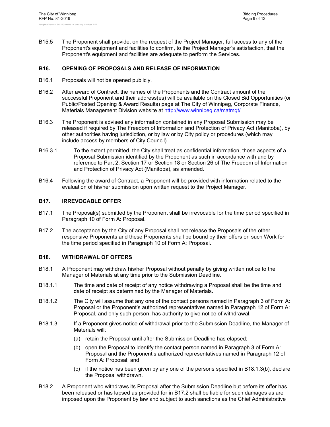B15.5 The Proponent shall provide, on the request of the Project Manager, full access to any of the Proponent's equipment and facilities to confirm, to the Project Manager's satisfaction, that the Proponent's equipment and facilities are adequate to perform the Services.

#### **B16. OPENING OF PROPOSALS AND RELEASE OF INFORMATION**

- B16.1 Proposals will not be opened publicly.
- B16.2 After award of Contract, the names of the Proponents and the Contract amount of the successful Proponent and their address(es) will be available on the Closed Bid Opportunities (or Public/Posted Opening & Award Results) page at The City of Winnipeg, Corporate Finance, Materials Management Division website at http://www.winnipeg.ca/matmgt/
- B16.3 The Proponent is advised any information contained in any Proposal Submission may be released if required by The Freedom of Information and Protection of Privacy Act (Manitoba), by other authorities having jurisdiction, or by law or by City policy or procedures (which may include access by members of City Council).
- B16.3.1 To the extent permitted, the City shall treat as confidential information, those aspects of a Proposal Submission identified by the Proponent as such in accordance with and by reference to Part 2, Section 17 or Section 18 or Section 26 of The Freedom of Information and Protection of Privacy Act (Manitoba), as amended.
- B16.4 Following the award of Contract, a Proponent will be provided with information related to the evaluation of his/her submission upon written request to the Project Manager.

#### **B17. IRREVOCABLE OFFER**

- B17.1 The Proposal(s) submitted by the Proponent shall be irrevocable for the time period specified in Paragraph 10 of Form A: Proposal.
- B17.2 The acceptance by the City of any Proposal shall not release the Proposals of the other responsive Proponents and these Proponents shall be bound by their offers on such Work for the time period specified in Paragraph 10 of Form A: Proposal.

#### **B18. WITHDRAWAL OF OFFERS**

- B18.1 A Proponent may withdraw his/her Proposal without penalty by giving written notice to the Manager of Materials at any time prior to the Submission Deadline.
- B18.1.1 The time and date of receipt of any notice withdrawing a Proposal shall be the time and date of receipt as determined by the Manager of Materials.
- B18.1.2 The City will assume that any one of the contact persons named in Paragraph 3 of Form A: Proposal or the Proponent's authorized representatives named in Paragraph 12 of Form A: Proposal, and only such person, has authority to give notice of withdrawal.
- B18.1.3 If a Proponent gives notice of withdrawal prior to the Submission Deadline, the Manager of Materials will:
	- (a) retain the Proposal until after the Submission Deadline has elapsed;
	- (b) open the Proposal to identify the contact person named in Paragraph 3 of Form A: Proposal and the Proponent's authorized representatives named in Paragraph 12 of Form A: Proposal; and
	- (c) if the notice has been given by any one of the persons specified in B18.1.3(b), declare the Proposal withdrawn.
- B18.2 A Proponent who withdraws its Proposal after the Submission Deadline but before its offer has been released or has lapsed as provided for in B17.2 shall be liable for such damages as are imposed upon the Proponent by law and subject to such sanctions as the Chief Administrative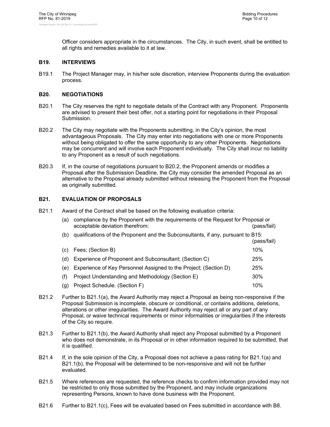Officer considers appropriate in the circumstances. The City, in such event, shall be entitled to all rights and remedies available to it at law.

#### **B19. INTERVIEWS**

B19.1 The Project Manager may, in his/her sole discretion, interview Proponents during the evaluation process.

#### **B20. NEGOTIATIONS**

- B20.1 The City reserves the right to negotiate details of the Contract with any Proponent. Proponents are advised to present their best offer, not a starting point for negotiations in their Proposal Submission.
- B20.2 The City may negotiate with the Proponents submitting, in the City's opinion, the most advantageous Proposals. The City may enter into negotiations with one or more Proponents without being obligated to offer the same opportunity to any other Proponents. Negotiations may be concurrent and will involve each Proponent individually. The City shall incur no liability to any Proponent as a result of such negotiations.
- B20.3 If, in the course of negotiations pursuant to B20.2, the Proponent amends or modifies a Proposal after the Submission Deadline, the City may consider the amended Proposal as an alternative to the Proposal already submitted without releasing the Proponent from the Proposal as originally submitted.

#### **B21. EVALUATION OF PROPOSALS**

B21.1 Award of the Contract shall be based on the following evaluation criteria:

| (a) | compliance by the Proponent with the requirements of the Request for Proposal or<br>acceptable deviation therefrom: | (pass/fail) |
|-----|---------------------------------------------------------------------------------------------------------------------|-------------|
| (b) | qualifications of the Proponent and the Subconsultants, if any, pursuant to B15:<br>(pass/fail)                     |             |
| (C) | Fees; (Section B)                                                                                                   | 10%         |
| (d) | Experience of Proponent and Subconsultant; (Section C)                                                              | 25%         |
| (e) | Experience of Key Personnel Assigned to the Project; (Section D)                                                    | 25%         |
| (f) | Project Understanding and Methodology (Section E)                                                                   | 30%         |
| (g) | Project Schedule. (Section F)                                                                                       | 10%         |

- B21.2 Further to B21.1(a), the Award Authority may reject a Proposal as being non-responsive if the Proposal Submission is incomplete, obscure or conditional, or contains additions, deletions, alterations or other irregularities. The Award Authority may reject all or any part of any Proposal, or waive technical requirements or minor informalities or irregularities if the interests of the City so require.
- B21.3 Further to B21.1(b), the Award Authority shall reject any Proposal submitted by a Proponent who does not demonstrate, in its Proposal or in other information required to be submitted, that it is qualified.
- B21.4 If, in the sole opinion of the City, a Proposal does not achieve a pass rating for B21.1(a) and B21.1(b), the Proposal will be determined to be non-responsive and will not be further evaluated.
- B21.5 Where references are requested, the reference checks to confirm information provided may not be restricted to only those submitted by the Proponent, and may include organizations representing Persons, known to have done business with the Proponent.
- B21.6 Further to B21.1(c), Fees will be evaluated based on Fees submitted in accordance with B8.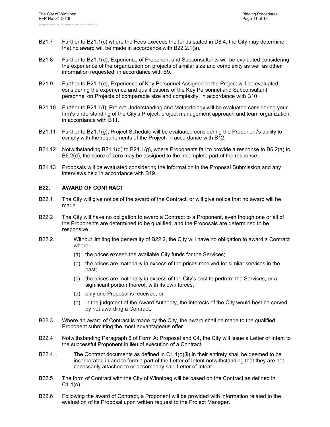- B21.7 Further to B21.1(c) where the Fees exceeds the funds stated in D8.4, the City may determine that no award will be made in accordance with B22.2.1(a).
- B21.8 Further to B21.1(d), Experience of Proponent and Subconsultants will be evaluated considering the experience of the organization on projects of similar size and complexity as well as other information requested, in accordance with B9.
- B21.9 Further to B21.1(e), Experience of Key Personnel Assigned to the Project will be evaluated considering the experience and qualifications of the Key Personnel and Subconsultant personnel on Projects of comparable size and complexity, in accordance with B10
- B21.10 Further to B21.1(f), Project Understanding and Methodology will be evaluated considering your firm's understanding of the City's Project, project management approach and team organization, in accordance with B11.
- B21.11 Further to B21.1(g), Project Schedule will be evaluated considering the Proponent's ability to comply with the requirements of the Project, in accordance with B12.
- B21.12 Notwithstanding B21.1(d) to B21.1(g), where Proponents fail to provide a response to B6.2(a) to B6.2(d), the score of zero may be assigned to the incomplete part of the response.
- B21.13 Proposals will be evaluated considering the information in the Proposal Submission and any interviews held in accordance with B19.

#### **B22. AWARD OF CONTRACT**

- B22.1 The City will give notice of the award of the Contract, or will give notice that no award will be made.
- B22.2 The City will have no obligation to award a Contract to a Proponent, even though one or all of the Proponents are determined to be qualified, and the Proposals are determined to be responsive.
- B22.2.1 Without limiting the generality of B22.2, the City will have no obligation to award a Contract where:
	- (a) the prices exceed the available City funds for the Services;
	- (b) the prices are materially in excess of the prices received for similar services in the past;
	- (c) the prices are materially in excess of the City's cost to perform the Services, or a significant portion thereof, with its own forces;
	- (d) only one Proposal is received; or
	- (e) in the judgment of the Award Authority, the interests of the City would best be served by not awarding a Contract.
- B22.3 Where an award of Contract is made by the City, the award shall be made to the qualified Proponent submitting the most advantageous offer.
- B22.4 Notwithstanding Paragraph 6 of Form A: Proposal and C4, the City will issue a Letter of Intent to the successful Proponent in lieu of execution of a Contract.
- B22.4.1 The Contract documents as defined in  $C1.1(0)(ii)$  in their entirety shall be deemed to be incorporated in and to form a part of the Letter of Intent notwithstanding that they are not necessarily attached to or accompany said Letter of Intent.
- B22.5 The form of Contract with the City of Winnipeg will be based on the Contract as defined in  $C1.1(0)$ .
- B22.6 Following the award of Contract, a Proponent will be provided with information related to the evaluation of its Proposal upon written request to the Project Manager.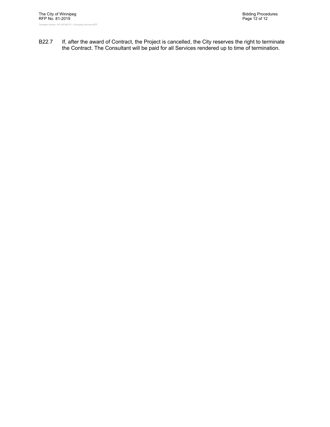B22.7 If, after the award of Contract, the Project is cancelled, the City reserves the right to terminate the Contract. The Consultant will be paid for all Services rendered up to time of termination.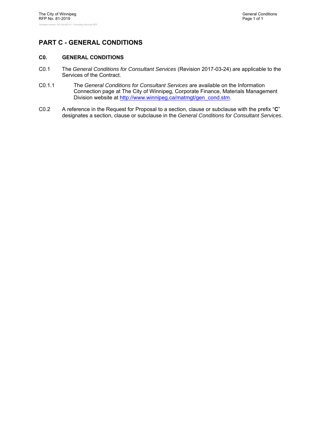# **PART C - GENERAL CONDITIONS**

#### **C0. GENERAL CONDITIONS**

- C0.1 The *General Conditions for Consultant Services* (Revision 2017-03-24) are applicable to the Services of the Contract.
- C0.1.1 The *General Conditions for Consultant Services* are available on the Information Connection page at The City of Winnipeg, Corporate Finance, Materials Management Division website at http://www.winnipeg.ca/matmgt/gen\_cond.stm.
- C0.2 A reference in the Request for Proposal to a section, clause or subclause with the prefix "**C**" designates a section, clause or subclause in the *General Conditions for Consultant Services*.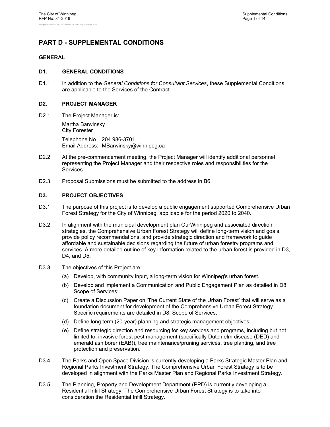## **PART D - SUPPLEMENTAL CONDITIONS**

#### **GENERAL**

#### **D1. GENERAL CONDITIONS**

D1.1 In addition to the *General Conditions for Consultant Services*, these Supplemental Conditions are applicable to the Services of the Contract.

#### **D2. PROJECT MANAGER**

D2.1 The Project Manager is:

Martha Barwinsky City Forester Telephone No. 204 986-3701 Email Address: MBarwinsky@winnipeg.ca

- D2.2 At the pre-commencement meeting, the Project Manager will identify additional personnel representing the Project Manager and their respective roles and responsibilities for the Services.
- D2.3 Proposal Submissions must be submitted to the address in B6.

#### **D3. PROJECT OBJECTIVES**

- D3.1 The purpose of this project is to develop a public engagement supported Comprehensive Urban Forest Strategy for the City of Winnipeg, applicable for the period 2020 to 2040.
- D3.2 In alignment with the municipal development plan OurWinnipeg and associated direction strategies, the Comprehensive Urban Forest Strategy will define long-term vision and goals, provide policy recommendations, and provide strategic direction and framework to guide affordable and sustainable decisions regarding the future of urban forestry programs and services. A more detailed outline of key information related to the urban forest is provided in D3, D4, and D5.
- D3.3 The objectives of this Project are:
	- (a) Develop, with community input, a long-term vision for Winnipeg's urban forest.
	- (b) Develop and implement a Communication and Public Engagement Plan as detailed in D8, Scope of Services;
	- (c) Create a Discussion Paper on 'The Current State of the Urban Forest' that will serve as a foundation document for development of the Comprehensive Urban Forest Strategy. Specific requirements are detailed in D8, Scope of Services;
	- (d) Define long term (20-year) planning and strategic management objectives;
	- (e) Define strategic direction and resourcing for key services and programs, including but not limited to, invasive forest pest management (specifically Dutch elm disease (DED) and emerald ash borer (EAB)), tree maintenance/pruning services, tree planting, and tree protection and preservation.
- D3.4 The Parks and Open Space Division is currently developing a Parks Strategic Master Plan and Regional Parks Investment Strategy. The Comprehensive Urban Forest Strategy is to be developed in alignment with the Parks Master Plan and Regional Parks Investment Strategy.
- D3.5 The Planning, Property and Development Department (PPD) is currently developing a Residential Infill Strategy. The Comprehensive Urban Forest Strategy is to take into consideration the Residential Infill Strategy.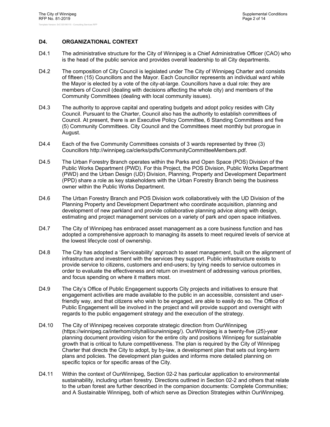#### **D4. ORGANIZATIONAL CONTEXT**

- D4.1 The administrative structure for the City of Winnipeg is a Chief Administrative Officer (CAO) who is the head of the public service and provides overall leadership to all City departments.
- D4.2 The composition of City Council is legislated under The City of Winnipeg Charter and consists of fifteen (15) Councillors and the Mayor. Each Councillor represents an individual ward while the Mayor is elected by a vote of the city-at-large. Councillors have a dual role: they are members of Council (dealing with decisions affecting the whole city) and members of the Community Committees (dealing with local community issues).
- D4.3 The authority to approve capital and operating budgets and adopt policy resides with City Council. Pursuant to the Charter, Council also has the authority to establish committees of Council. At present, there is an Executive Policy Committee, 6 Standing Committees and five (5) Community Committees. City Council and the Committees meet monthly but prorogue in August.
- D4.4 Each of the five Community Committees consists of 3 wards represented by three (3) Councillors http://winnipeg.ca/clerks/pdfs/CommunityCommitteeMembers.pdf.
- D4.5 The Urban Forestry Branch operates within the Parks and Open Space (POS) Division of the Public Works Department (PWD). For this Project, the POS Division, Public Works Department (PWD) and the Urban Design (UD) Division, Planning, Property and Development Department (PPD) share a role as key stakeholders with the Urban Forestry Branch being the business owner within the Public Works Department.
- D4.6 The Urban Forestry Branch and POS Division work collaboratively with the UD Division of the Planning Property and Development Department who coordinate acquisition, planning and development of new parkland and provide collaborative planning advice along with design, estimating and project management services on a variety of park and open space initiatives.
- D4.7 The City of Winnipeg has embraced asset management as a core business function and has adopted a comprehensive approach to managing its assets to meet required levels of service at the lowest lifecycle cost of ownership.
- D4.8 The City has adopted a 'Serviceability' approach to asset management, built on the alignment of infrastructure and investment with the services they support. Public infrastructure exists to provide service to citizens, customers and end-users; by tying needs to service outcomes in order to evaluate the effectiveness and return on investment of addressing various priorities, and focus spending on where it matters most.
- D4.9 The City's Office of Public Engagement supports City projects and initiatives to ensure that engagement activities are made available to the public in an accessible, consistent and userfriendly way, and that citizens who wish to be engaged, are able to easily do so. The Office of Public Engagement will be involved in the project and will provide support and oversight with regards to the public engagement strategy and the execution of the strategy.
- D4.10 The City of Winnipeg receives corporate strategic direction from OurWinnipeg (https://winnipeg.ca/interhom/cityhall/ourwinnipeg/). OurWinnipeg is a twenty-five (25)-year planning document providing vision for the entire city and positions Winnipeg for sustainable growth that is critical to future competitiveness. The plan is required by the City of Winnipeg Charter that directs the City to adopt, by by-law, a development plan that sets out long-term plans and policies. The development plan guides and informs more detailed planning on specific topics or for specific areas of the City.
- D4.11 Within the context of OurWinnipeg, Section 02-2 has particular application to environmental sustainability, including urban forestry. Directions outlined in Section 02-2 and others that relate to the urban forest are further described in the companion documents: Complete Communities; and A Sustainable Winnipeg, both of which serve as Direction Strategies within OurWinnipeg.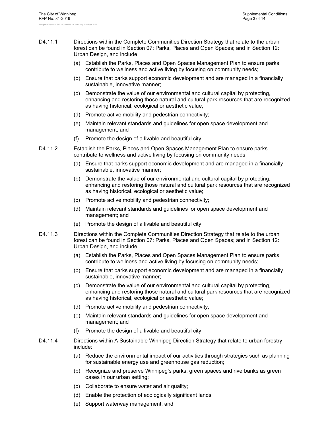- D4.11.1 Directions within the Complete Communities Direction Strategy that relate to the urban forest can be found in Section 07: Parks, Places and Open Spaces; and in Section 12: Urban Design, and include:
	- (a) Establish the Parks, Places and Open Spaces Management Plan to ensure parks contribute to wellness and active living by focusing on community needs;
	- (b) Ensure that parks support economic development and are managed in a financially sustainable, innovative manner;
	- (c) Demonstrate the value of our environmental and cultural capital by protecting, enhancing and restoring those natural and cultural park resources that are recognized as having historical, ecological or aesthetic value;
	- (d) Promote active mobility and pedestrian connectivity;
	- (e) Maintain relevant standards and guidelines for open space development and management; and
	- (f) Promote the design of a livable and beautiful city.
- D4.11.2 Establish the Parks, Places and Open Spaces Management Plan to ensure parks contribute to wellness and active living by focusing on community needs:
	- (a) Ensure that parks support economic development and are managed in a financially sustainable, innovative manner;
	- (b) Demonstrate the value of our environmental and cultural capital by protecting, enhancing and restoring those natural and cultural park resources that are recognized as having historical, ecological or aesthetic value;
	- (c) Promote active mobility and pedestrian connectivity;
	- (d) Maintain relevant standards and guidelines for open space development and management; and
	- (e) Promote the design of a livable and beautiful city.
- D4.11.3 Directions within the Complete Communities Direction Strategy that relate to the urban forest can be found in Section 07: Parks, Places and Open Spaces; and in Section 12: Urban Design, and include:
	- (a) Establish the Parks, Places and Open Spaces Management Plan to ensure parks contribute to wellness and active living by focusing on community needs;
	- (b) Ensure that parks support economic development and are managed in a financially sustainable, innovative manner;
	- (c) Demonstrate the value of our environmental and cultural capital by protecting, enhancing and restoring those natural and cultural park resources that are recognized as having historical, ecological or aesthetic value;
	- (d) Promote active mobility and pedestrian connectivity;
	- (e) Maintain relevant standards and guidelines for open space development and management; and
	- (f) Promote the design of a livable and beautiful city.
- D4.11.4 Directions within A Sustainable Winnipeg Direction Strategy that relate to urban forestry include:
	- (a) Reduce the environmental impact of our activities through strategies such as planning for sustainable energy use and greenhouse gas reduction;
	- (b) Recognize and preserve Winnipeg's parks, green spaces and riverbanks as green oases in our urban setting;
	- (c) Collaborate to ensure water and air quality;
	- (d) Enable the protection of ecologically significant lands'
	- (e) Support waterway management; and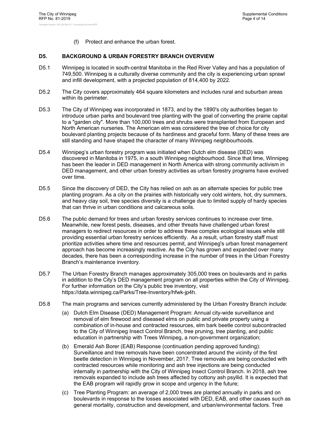(f) Protect and enhance the urban forest.

#### **D5. BACKGROUND & URBAN FORESTRY BRANCH OVERVIEW**

- D5.1 Winnipeg is located in south-central Manitoba in the Red River Valley and has a population of 749,500. Winnipeg is a culturally diverse community and the city is experiencing urban sprawl and infill development, with a projected population of 814,400 by 2022.
- D5.2 The City covers approximately 464 square kilometers and includes rural and suburban areas within its perimeter.
- D5.3 The City of Winnipeg was incorporated in 1873, and by the 1890's city authorities began to introduce urban parks and boulevard tree planting with the goal of converting the prairie capital to a "garden city". More than 100,000 trees and shrubs were transplanted from European and North American nurseries. The American elm was considered the tree of choice for city boulevard planting projects because of its hardiness and graceful form. Many of these trees are still standing and have shaped the character of many Winnipeg neighbourhoods.
- D5.4 Winnipeg's urban forestry program was initiated when Dutch elm disease (DED) was discovered in Manitoba in 1975, in a south Winnipeg neighbourhood. Since that time, Winnipeg has been the leader in DED management in North America with strong community activism in DED management, and other urban forestry activities as urban forestry programs have evolved over time.
- D5.5 Since the discovery of DED, the City has relied on ash as an alternate species for public tree planting program. As a city on the prairies with historically very cold winters, hot, dry summers, and heavy clay soil, tree species diversity is a challenge due to limited supply of hardy species that can thrive in urban conditions and calcareous soils.
- D5.6 The public demand for trees and urban forestry services continues to increase over time. Meanwhile, new forest pests, diseases, and other threats have challenged urban forest managers to redirect resources in order to address these complex ecological issues while still providing essential urban forestry services efficiently. As a result, urban forestry staff must prioritize activities where time and resources permit, and Winnipeg's urban forest management approach has become increasingly reactive. As the City has grown and expanded over many decades, there has been a corresponding increase in the number of trees in the Urban Forestry Branch's maintenance inventory.
- D5.7 The Urban Forestry Branch manages approximately 305,000 trees on boulevards and in parks in addition to the City's DED management program on all properties within the City of Winnipeg. For further information on the City's public tree inventory, visit https://data.winnipeg.ca/Parks/Tree-Inventory/hfwk-jp4h.
- D5.8 The main programs and services currently administered by the Urban Forestry Branch include:
	- (a) Dutch Elm Disease (DED) Management Program: Annual city-wide surveillance and removal of elm firewood and diseased elms on public and private property using a combination of in-house and contracted resources, elm bark beetle control subcontracted to the City of Winnipeg Insect Control Branch, tree pruning, tree planting, and public education in partnership with Trees Winnipeg, a non-government organization;
	- (b) Emerald Ash Borer (EAB) Response (continuation pending approved funding): Surveillance and tree removals have been concentrated around the vicinity of the first beetle detection in Winnipeg in November, 2017. Tree removals are being conducted with contracted resources while monitoring and ash tree injections are being conducted internally in partnership with the City of Winnipeg Insect Control Branch. In 2018, ash tree removals expanded to include ash trees affected by cottony ash psyllid. It is expected that the EAB program will rapidly grow in scope and urgency in the future;
	- (c) Tree Planting Program: an average of 2,000 trees are planted annually in parks and on boulevards in response to the losses associated with DED, EAB, and other causes such as general mortality, construction and development, and urban/environmental factors. Tree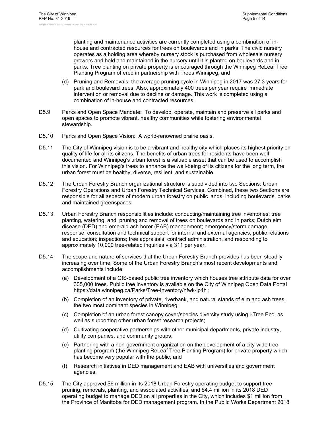planting and maintenance activities are currently completed using a combination of inhouse and contracted resources for trees on boulevards and in parks. The civic nursery operates as a holding area whereby nursery stock is purchased from wholesale nursery growers and held and maintained in the nursery until it is planted on boulevards and in parks. Tree planting on private property is encouraged through the Winnipeg ReLeaf Tree Planting Program offered in partnership with Trees Winnipeg; and

- (d) Pruning and Removals: the average pruning cycle in Winnipeg in 2017 was 27.3 years for park and boulevard trees. Also, approximately 400 trees per year require immediate intervention or removal due to decline or damage. This work is completed using a combination of in-house and contracted resources.
- D5.9 Parks and Open Space Mandate: To develop, operate, maintain and preserve all parks and open spaces to promote vibrant, healthy communities while fostering environmental stewardship.
- D5.10 Parks and Open Space Vision: A world-renowned prairie oasis.
- D5.11 The City of Winnipeg vision is to be a vibrant and healthy city which places its highest priority on quality of life for all its citizens. The benefits of urban trees for residents have been well documented and Winnipeg's urban forest is a valuable asset that can be used to accomplish this vision. For Winnipeg's trees to enhance the well-being of its citizens for the long term, the urban forest must be healthy, diverse, resilient, and sustainable.
- D5.12 The Urban Forestry Branch organizational structure is subdivided into two Sections: Urban Forestry Operations and Urban Forestry Technical Services. Combined, these two Sections are responsible for all aspects of modern urban forestry on public lands, including boulevards, parks and maintained greenspaces.
- D5.13 Urban Forestry Branch responsibilities include: conducting/maintaining tree inventories; tree planting, watering, and pruning and removal of trees on boulevards and in parks; Dutch elm disease (DED) and emerald ash borer (EAB) management; emergency/storm damage response; consultation and technical support for internal and external agencies; public relations and education; inspections; tree appraisals; contract administration, and responding to approximately 10,000 tree-related inquiries via 311 per year.
- D5.14 The scope and nature of services that the Urban Forestry Branch provides has been steadily increasing over time. Some of the Urban Forestry Branch's most recent developments and accomplishments include:
	- (a) Development of a GIS-based public tree inventory which houses tree attribute data for over 305,000 trees. Public tree inventory is available on the City of Winnipeg Open Data Portal https://data.winnipeg.ca/Parks/Tree-Inventory/hfwk-jp4h ;
	- (b) Completion of an inventory of private, riverbank, and natural stands of elm and ash trees; the two most dominant species in Winnipeg;
	- (c) Completion of an urban forest canopy cover/species diversity study using i-Tree Eco, as well as supporting other urban forest research projects;
	- (d) Cultivating cooperative partnerships with other municipal departments, private industry, utility companies, and community groups;
	- (e) Partnering with a non-government organization on the development of a city-wide tree planting program (the Winnipeg ReLeaf Tree Planting Program) for private property which has become very popular with the public; and
	- (f) Research initiatives in DED management and EAB with universities and government agencies.
- D5.15 The City approved \$6 million in its 2018 Urban Forestry operating budget to support tree pruning, removals, planting, and associated activities, and \$4.4 million in its 2018 DED operating budget to manage DED on all properties in the City, which includes \$1 million from the Province of Manitoba for DED management program. In the Public Works Department 2018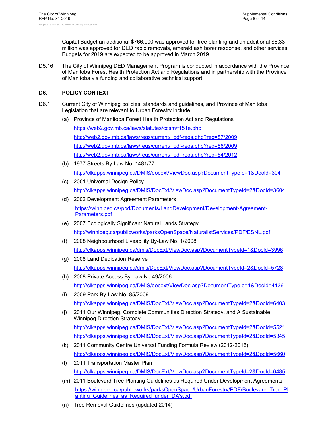Capital Budget an additional \$766,000 was approved for tree planting and an additional \$6.33 million was approved for DED rapid removals, emerald ash borer response, and other services. Budgets for 2019 are expected to be approved in March 2019.

D5.16 The City of Winnipeg DED Management Program is conducted in accordance with the Province of Manitoba Forest Health Protection Act and Regulations and in partnership with the Province of Manitoba via funding and collaborative technical support.

#### **D6. POLICY CONTEXT**

- D6.1 Current City of Winnipeg policies, standards and guidelines, and Province of Manitoba Legislation that are relevant to Urban Forestry include:
	- (a) Province of Manitoba Forest Health Protection Act and Regulations

https://web2.gov.mb.ca/laws/statutes/ccsm/f151e.php http://web2.gov.mb.ca/laws/regs/current/\_pdf-regs.php?reg=87/2009 http://web2.gov.mb.ca/laws/regs/current/\_pdf-regs.php?reg=86/2009 http://web2.gov.mb.ca/laws/regs/current/\_pdf-regs.php?reg=54/2012

- (b) 1977 Streets By-Law No. 1481/77 http://clkapps.winnipeg.ca/DMIS/docext/ViewDoc.asp?DocumentTypeId=1&DocId=304
- (c) 2001 Universal Design Policy http://clkapps.winnipeg.ca/DMIS/DocExt/ViewDoc.asp?DocumentTypeId=2&DocId=3604
- (d) 2002 Development Agreement Parameters https://winnipeg.ca/ppd/Documents/LandDevelopment/Development-Agreement-Parameters.pdf
- (e) 2007 Ecologically Significant Natural Lands Strategy http://winnipeg.ca/publicworks/parksOpenSpace/NaturalistServices/PDF/ESNL.pdf
- (f) 2008 Neighbourhood Liveability By-Law No. 1/2008 http://clkapps.winnipeg.ca/dmis/DocExt/ViewDoc.asp?DocumentTypeId=1&DocId=3996
- (g) 2008 Land Dedication Reserve http://clkapps.winnipeg.ca/dmis/DocExt/ViewDoc.asp?DocumentTypeId=2&DocId=5728
- (h) 2008 Private Access By-Law No.49/2006 http://clkapps.winnipeg.ca/DMIS/docext/ViewDoc.asp?DocumentTypeId=1&DocId=4136
- (i) 2009 Park By-Law No. 85/2009 http://clkapps.winnipeg.ca/DMIS/DocExt/ViewDoc.asp?DocumentTypeId=2&DocId=6403
- (j) 2011 Our Winnipeg, Complete Communities Direction Strategy, and A Sustainable Winnipeg Direction Strategy http://clkapps.winnipeg.ca/DMIS/DocExt/ViewDoc.asp?DocumentTypeId=2&DocId=5521 http://clkapps.winnipeg.ca/DMIS/DocExt/ViewDoc.asp?DocumentTypeId=2&DocId=5345
- (k) 2011 Community Centre Universal Funding Formula Review (2012-2016) http://clkapps.winnipeg.ca/DMIS/DocExt/ViewDoc.asp?DocumentTypeId=2&DocId=5660
- (l) 2011 Transportation Master Plan http://clkapps.winnipeg.ca/DMIS/DocExt/ViewDoc.asp?DocumentTypeId=2&DocId=6485
- (m) 2011 Boulevard Tree Planting Guidelines as Required Under Development Agreements https://winnipeg.ca/publicworks/parksOpenSpace/UrbanForestry/PDF/Boulevard\_Tree\_Pl anting Guidelines as Required under DA's.pdf
- (n) Tree Removal Guidelines (updated 2014)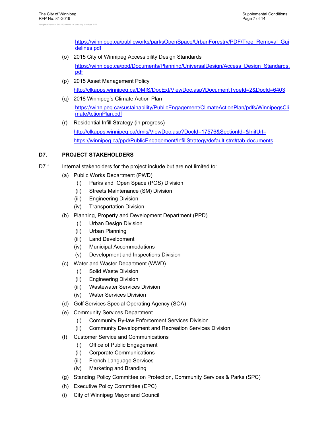https://winnipeg.ca/publicworks/parksOpenSpace/UrbanForestry/PDF/Tree\_Removal\_Gui delines.pdf

(o) 2015 City of Winnipeg Accessibility Design Standards

https://winnipeg.ca/ppd/Documents/Planning/UniversalDesign/Access\_Design\_Standards. pdf

- (p) 2015 Asset Management Policy http://clkapps.winnipeg.ca/DMIS/DocExt/ViewDoc.asp?DocumentTypeId=2&DocId=6403
- (q) 2018 Winnipeg's Climate Action Plan https://winnipeg.ca/sustainability/PublicEngagement/ClimateActionPlan/pdfs/WinnipegsCli mateActionPlan.pdf
- (r) Residential Infill Strategy (in progress) http://clkapps.winnipeg.ca/dmis/ViewDoc.asp?DocId=17576&SectionId=&InitUrl= https://winnipeg.ca/ppd/PublicEngagement/InfillStrategy/default.stm#tab-documents

#### **D7. PROJECT STAKEHOLDERS**

- D7.1 Internal stakeholders for the project include but are not limited to:
	- (a) Public Works Department (PWD)
		- (i) Parks and Open Space (POS) Division
		- (ii) Streets Maintenance (SM) Division
		- (iii) Engineering Division
		- (iv) Transportation Division
	- (b) Planning, Property and Development Department (PPD)
		- (i) Urban Design Division
		- (ii) Urban Planning
		- (iii) Land Development
		- (iv) Municipal Accommodations
		- (v) Development and Inspections Division
	- (c) Water and Waster Department (WWD)
		- (i) Solid Waste Division
		- (ii) Engineering Division
		- (iii) Wastewater Services Division
		- (iv) Water Services Division
	- (d) Golf Services Special Operating Agency (SOA)
	- (e) Community Services Department
		- (i) Community By-law Enforcement Services Division
		- (ii) Community Development and Recreation Services Division
	- (f) Customer Service and Communications
		- (i) Office of Public Engagement
		- (ii) Corporate Communications
		- (iii) French Language Services
		- (iv) Marketing and Branding
	- (g) Standing Policy Committee on Protection, Community Services & Parks (SPC)
	- (h) Executive Policy Committee (EPC)
	- (i) City of Winnipeg Mayor and Council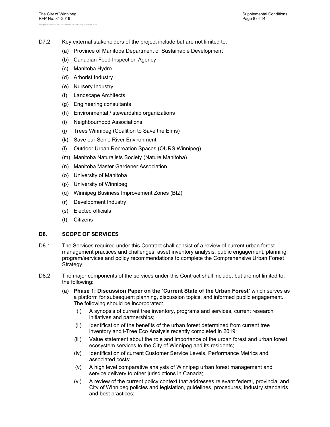- D7.2 Key external stakeholders of the project include but are not limited to:
	- (a) Province of Manitoba Department of Sustainable Development
	- (b) Canadian Food Inspection Agency
	- (c) Manitoba Hydro
	- (d) Arborist Industry
	- (e) Nursery Industry
	- (f) Landscape Architects
	- (g) Engineering consultants
	- (h) Environmental / stewardship organizations
	- (i) Neighbourhood Associations
	- (j) Trees Winnipeg (Coalition to Save the Elms)
	- (k) Save our Seine River Environment
	- (l) Outdoor Urban Recreation Spaces (OURS Winnipeg)
	- (m) Manitoba Naturalists Society (Nature Manitoba)
	- (n) Manitoba Master Gardener Association
	- (o) University of Manitoba
	- (p) University of Winnipeg
	- (q) Winnipeg Business Improvement Zones (BIZ)
	- (r) Development Industry
	- (s) Elected officials
	- (t) Citizens

#### **D8. SCOPE OF SERVICES**

- D8.1 The Services required under this Contract shall consist of a review of current urban forest management practices and challenges, asset inventory analysis, public engagement, planning, program/services and policy recommendations to complete the Comprehensive Urban Forest Strategy.
- D8.2 The major components of the services under this Contract shall include, but are not limited to, the following:
	- (a) **Phase 1: Discussion Paper on the 'Current State of the Urban Forest'** which serves as a platform for subsequent planning, discussion topics, and informed public engagement. The following should be incorporated:
		- (i) A synopsis of current tree inventory, programs and services, current research initiatives and partnerships;
		- (ii) Identification of the benefits of the urban forest determined from current tree inventory and i-Tree Eco Analysis recently completed in 2019;
		- (iii) Value statement about the role and importance of the urban forest and urban forest ecosystem services to the City of Winnipeg and its residents;
		- (iv) Identification of current Customer Service Levels, Performance Metrics and associated costs;
		- (v) A high level comparative analysis of Winnipeg urban forest management and service delivery to other jurisdictions in Canada;
		- (vi) A review of the current policy context that addresses relevant federal, provincial and City of Winnipeg policies and legislation, guidelines, procedures, industry standards and best practices;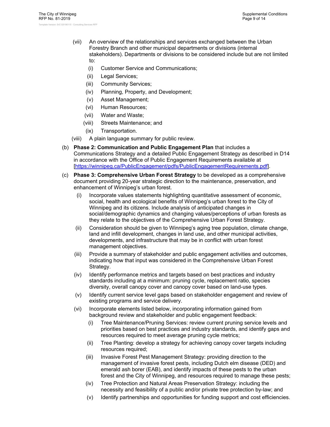- (vii) An overview of the relationships and services exchanged between the Urban Forestry Branch and other municipal departments or divisions (internal stakeholders). Departments or divisions to be considered include but are not limited to:
	- (i) Customer Service and Communications;
	- (ii) Legal Services;
	- (iii) Community Services;
	- (iv) Planning, Property, and Development;
	- (v) Asset Management;
	- (vi) Human Resources;
	- (vii) Water and Waste;
	- (viii) Streets Maintenance; and
	- (ix) Transportation.
- (viii) A plain language summary for public review.
- (b) **Phase 2: Communication and Public Engagement Plan** that includes a Communications Strategy and a detailed Public Engagement Strategy as described in D14 in accordance with the Office of Public Engagement Requirements available at [https://winnipeg.ca/PublicEngagement/pdfs/PublicEngagementRequirements.pdf].
- (c) **Phase 3: Comprehensive Urban Forest Strategy** to be developed as a comprehensive document providing 20-year strategic direction to the maintenance, preservation, and enhancement of Winnipeg's urban forest.
	- (i) Incorporate values statements highlighting quantitative assessment of economic, social, health and ecological benefits of Winnipeg's urban forest to the City of Winnipeg and its citizens. Include analysis of anticipated changes in social/demographic dynamics and changing values/perceptions of urban forests as they relate to the objectives of the Comprehensive Urban Forest Strategy.
	- (ii) Consideration should be given to Winnipeg's aging tree population, climate change, land and infill development, changes in land use, and other municipal activities, developments, and infrastructure that may be in conflict with urban forest management objectives.
	- (iii) Provide a summary of stakeholder and public engagement activities and outcomes, indicating how that input was considered in the Comprehensive Urban Forest Strategy.
	- (iv) Identify performance metrics and targets based on best practices and industry standards including at a minimum: pruning cycle, replacement ratio, species diversity, overall canopy cover and canopy cover based on land-use types.
	- (v) Identify current service level gaps based on stakeholder engagement and review of existing programs and service delivery.
	- (vi) Incorporate elements listed below, incorporating information gained from background review and stakeholder and public engagement feedback:
		- (i) Tree Maintenance/Pruning Services: review current pruning service levels and priorities based on best practices and industry standards, and identify gaps and resources required to meet average pruning cycle metrics;
		- (ii) Tree Planting: develop a strategy for achieving canopy cover targets including resources required;
		- (iii) Invasive Forest Pest Management Strategy: providing direction to the management of invasive forest pests, including Dutch elm disease (DED) and emerald ash borer (EAB), and identify impacts of these pests to the urban forest and the City of Winnipeg, and resources required to manage these pests;
		- (iv) Tree Protection and Natural Areas Preservation Strategy: including the necessity and feasibility of a public and/or private tree protection by-law; and
		- (v) Identify partnerships and opportunities for funding support and cost efficiencies.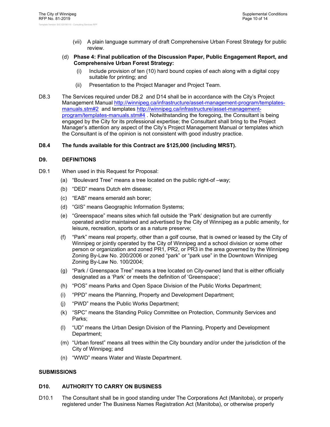- (vii) A plain language summary of draft Comprehensive Urban Forest Strategy for public review.
- (d) **Phase 4: Final publication of the Discussion Paper, Public Engagement Report, and Comprehensive Urban Forest Strategy:** 
	- (i) Include provision of ten (10) hard bound copies of each along with a digital copy suitable for printing; and
	- (ii) Presentation to the Project Manager and Project Team.
- D8.3 The Services required under D8.2 and D14 shall be in accordance with the City's Project Management Manual http://winnipeg.ca/infrastructure/asset-management-program/templatesmanuals.stm#2 and templates http://winnipeg.ca/infrastructure/asset-managementprogram/templates-manuals.stm#4 . Notwithstanding the foregoing, the Consultant is being engaged by the City for its professional expertise; the Consultant shall bring to the Project Manager's attention any aspect of the City's Project Management Manual or templates which the Consultant is of the opinion is not consistent with good industry practice.

#### **D8.4 The funds available for this Contract are \$125,000 (including MRST).**

#### **D9. DEFINITIONS**

- D9.1 When used in this Request for Proposal:
	- (a) "Boulevard Tree" means a tree located on the public right-of –way;
	- (b) "DED" means Dutch elm disease;
	- (c) "EAB" means emerald ash borer;
	- (d) "GIS" means Geographic Information Systems;
	- (e) "Greenspace" means sites which fall outside the 'Park' designation but are currently operated and/or maintained and advertised by the City of Winnipeg as a public amenity, for leisure, recreation, sports or as a nature preserve;
	- (f) "Park" means real property, other than a golf course, that is owned or leased by the City of Winnipeg or jointly operated by the City of Winnipeg and a school division or some other person or organization and zoned PR1, PR2, or PR3 in the area governed by the Winnipeg Zoning By-Law No. 200/2006 or zoned "park" or "park use" in the Downtown Winnipeg Zoning By-Law No. 100/2004;
	- (g) "Park / Greenspace Tree" means a tree located on City-owned land that is either officially designated as a 'Park' or meets the definition of 'Greenspace';
	- (h) "POS" means Parks and Open Space Division of the Public Works Department;
	- (i) "PPD" means the Planning, Property and Development Department;
	- (j) "PWD" means the Public Works Department;
	- (k) "SPC" means the Standing Policy Committee on Protection, Community Services and Parks;
	- (l) "UD" means the Urban Design Division of the Planning, Property and Development Department;
	- (m) "Urban forest" means all trees within the City boundary and/or under the jurisdiction of the City of Winnipeg; and
	- (n) "WWD" means Water and Waste Department.

#### **SUBMISSIONS**

#### **D10. AUTHORITY TO CARRY ON BUSINESS**

D10.1 The Consultant shall be in good standing under The Corporations Act (Manitoba), or properly registered under The Business Names Registration Act (Manitoba), or otherwise properly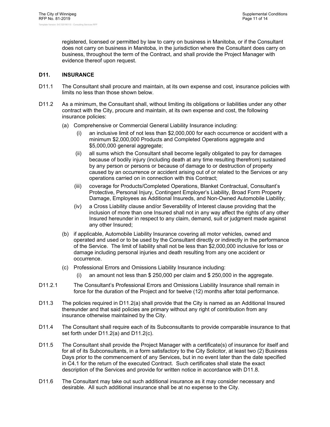registered, licensed or permitted by law to carry on business in Manitoba, or if the Consultant does not carry on business in Manitoba, in the jurisdiction where the Consultant does carry on business, throughout the term of the Contract, and shall provide the Project Manager with evidence thereof upon request.

#### **D11. INSURANCE**

- D11.1 The Consultant shall procure and maintain, at its own expense and cost, insurance policies with limits no less than those shown below.
- D11.2 As a minimum, the Consultant shall, without limiting its obligations or liabilities under any other contract with the City, procure and maintain, at its own expense and cost, the following insurance policies:
	- (a) Comprehensive or Commercial General Liability Insurance including:
		- an inclusive limit of not less than \$2,000,000 for each occurrence or accident with a minimum \$2,000,000 Products and Completed Operations aggregate and \$5,000,000 general aggregate;
		- (ii) all sums which the Consultant shall become legally obligated to pay for damages because of bodily injury (including death at any time resulting therefrom) sustained by any person or persons or because of damage to or destruction of property caused by an occurrence or accident arising out of or related to the Services or any operations carried on in connection with this Contract;
		- (iii) coverage for Products/Completed Operations, Blanket Contractual, Consultant's Protective, Personal Injury, Contingent Employer's Liability, Broad Form Property Damage, Employees as Additional Insureds, and Non-Owned Automobile Liability;
		- (iv) a Cross Liability clause and/or Severability of Interest clause providing that the inclusion of more than one Insured shall not in any way affect the rights of any other Insured hereunder in respect to any claim, demand, suit or judgment made against any other Insured;
	- (b) if applicable, Automobile Liability Insurance covering all motor vehicles, owned and operated and used or to be used by the Consultant directly or indirectly in the performance of the Service. The limit of liability shall not be less than \$2,000,000 inclusive for loss or damage including personal injuries and death resulting from any one accident or occurrence.
	- (c) Professional Errors and Omissions Liability Insurance including:
		- (i) an amount not less than \$ 250,000 per claim and \$ 250,000 in the aggregate.
- D11.2.1 The Consultant's Professional Errors and Omissions Liability Insurance shall remain in force for the duration of the Project and for twelve (12) months after total performance.
- D11.3 The policies required in D11.2(a) shall provide that the City is named as an Additional Insured thereunder and that said policies are primary without any right of contribution from any insurance otherwise maintained by the City.
- D11.4 The Consultant shall require each of its Subconsultants to provide comparable insurance to that set forth under D11.2(a) and D11.2(c).
- D11.5 The Consultant shall provide the Project Manager with a certificate(s) of insurance for itself and for all of its Subconsultants, in a form satisfactory to the City Solicitor, at least two (2) Business Days prior to the commencement of any Services, but in no event later than the date specified in C4.1 for the return of the executed Contract. Such certificates shall state the exact description of the Services and provide for written notice in accordance with D11.8.
- D11.6 The Consultant may take out such additional insurance as it may consider necessary and desirable. All such additional insurance shall be at no expense to the City.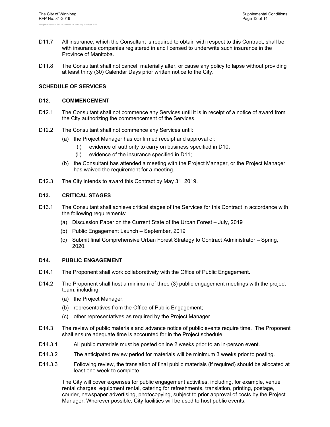- D11.7 All insurance, which the Consultant is required to obtain with respect to this Contract, shall be with insurance companies registered in and licensed to underwrite such insurance in the Province of Manitoba.
- D11.8 The Consultant shall not cancel, materially alter, or cause any policy to lapse without providing at least thirty (30) Calendar Days prior written notice to the City.

#### **SCHEDULE OF SERVICES**

#### **D12. COMMENCEMENT**

- D12.1 The Consultant shall not commence any Services until it is in receipt of a notice of award from the City authorizing the commencement of the Services.
- D12.2 The Consultant shall not commence any Services until:
	- (a) the Project Manager has confirmed receipt and approval of:
		- (i) evidence of authority to carry on business specified in D10;
		- (ii) evidence of the insurance specified in D11;
	- (b) the Consultant has attended a meeting with the Project Manager, or the Project Manager has waived the requirement for a meeting.
- D12.3 The City intends to award this Contract by May 31, 2019.

#### **D13. CRITICAL STAGES**

- D13.1 The Consultant shall achieve critical stages of the Services for this Contract in accordance with the following requirements:
	- (a) Discussion Paper on the Current State of the Urban Forest July, 2019
	- (b) Public Engagement Launch September, 2019
	- (c) Submit final Comprehensive Urban Forest Strategy to Contract Administrator Spring, 2020.

#### **D14. PUBLIC ENGAGEMENT**

- D14.1 The Proponent shall work collaboratively with the Office of Public Engagement.
- D14.2 The Proponent shall host a minimum of three (3) public engagement meetings with the project team, including:
	- (a) the Project Manager;
	- (b) representatives from the Office of Public Engagement;
	- (c) other representatives as required by the Project Manager.
- D14.3 The review of public materials and advance notice of public events require time. The Proponent shall ensure adequate time is accounted for in the Project schedule.
- D14.3.1 All public materials must be posted online 2 weeks prior to an in-person event.
- D14.3.2 The anticipated review period for materials will be minimum 3 weeks prior to posting.
- D14.3.3 Following review, the translation of final public materials (if required) should be allocated at least one week to complete.

The City will cover expenses for public engagement activities, including, for example, venue rental charges, equipment rental, catering for refreshments, translation, printing, postage, courier, newspaper advertising, photocopying, subject to prior approval of costs by the Project Manager. Wherever possible, City facilities will be used to host public events.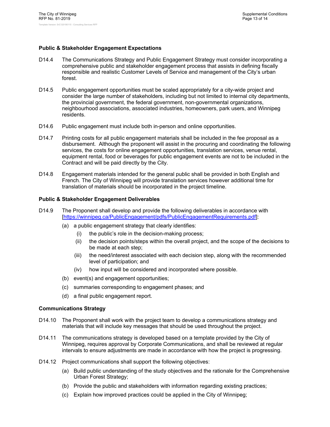#### **Public & Stakeholder Engagement Expectations**

- D14.4 The Communications Strategy and Public Engagement Strategy must consider incorporating a comprehensive public and stakeholder engagement process that assists in defining fiscally responsible and realistic Customer Levels of Service and management of the City's urban forest.
- D14.5 Public engagement opportunities must be scaled appropriately for a city-wide project and consider the large number of stakeholders, including but not limited to internal city departments, the provincial government, the federal government, non-governmental organizations, neighbourhood associations, associated industries, homeowners, park users, and Winnipeg residents.
- D14.6 Public engagement must include both in-person and online opportunities.
- D14.7 Printing costs for all public engagement materials shall be included in the fee proposal as a disbursement. Although the proponent will assist in the procuring and coordinating the following services, the costs for online engagement opportunities, translation services, venue rental, equipment rental, food or beverages for public engagement events are not to be included in the Contract and will be paid directly by the City.
- D14.8 Engagement materials intended for the general public shall be provided in both English and French. The City of Winnipeg will provide translation services however additional time for translation of materials should be incorporated in the project timeline.

#### **Public & Stakeholder Engagement Deliverables**

- D14.9 The Proponent shall develop and provide the following deliverables in accordance with [https://winnipeg.ca/PublicEngagement/pdfs/PublicEngagementRequirements.pdf]:
	- (a) a public engagement strategy that clearly identifies:
		- (i) the public's role in the decision-making process;
		- (ii) the decision points/steps within the overall project, and the scope of the decisions to be made at each step;
		- (iii) the need/interest associated with each decision step, along with the recommended level of participation; and
		- (iv) how input will be considered and incorporated where possible.
	- (b) event(s) and engagement opportunities;
	- (c) summaries corresponding to engagement phases; and
	- (d) a final public engagement report.

#### **Communications Strategy**

- D14.10 The Proponent shall work with the project team to develop a communications strategy and materials that will include key messages that should be used throughout the project.
- D14.11 The communications strategy is developed based on a template provided by the City of Winnipeg, requires approval by Corporate Communications, and shall be reviewed at regular intervals to ensure adjustments are made in accordance with how the project is progressing.
- D14.12 Project communications shall support the following objectives:
	- (a) Build public understanding of the study objectives and the rationale for the Comprehensive Urban Forest Strategy;
	- (b) Provide the public and stakeholders with information regarding existing practices;
	- (c) Explain how improved practices could be applied in the City of Winnipeg;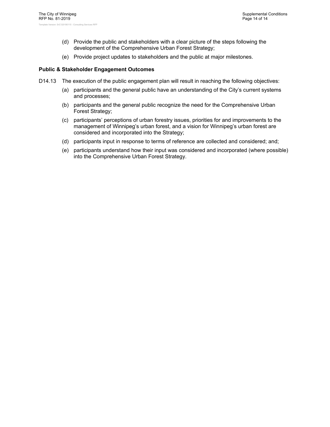- (d) Provide the public and stakeholders with a clear picture of the steps following the development of the Comprehensive Urban Forest Strategy;
- (e) Provide project updates to stakeholders and the public at major milestones.

#### **Public & Stakeholder Engagement Outcomes**

- D14.13 The execution of the public engagement plan will result in reaching the following objectives:
	- (a) participants and the general public have an understanding of the City's current systems and processes;
	- (b) participants and the general public recognize the need for the Comprehensive Urban Forest Strategy;
	- (c) participants' perceptions of urban forestry issues, priorities for and improvements to the management of Winnipeg's urban forest, and a vision for Winnipeg's urban forest are considered and incorporated into the Strategy;
	- (d) participants input in response to terms of reference are collected and considered; and;
	- (e) participants understand how their input was considered and incorporated (where possible) into the Comprehensive Urban Forest Strategy.